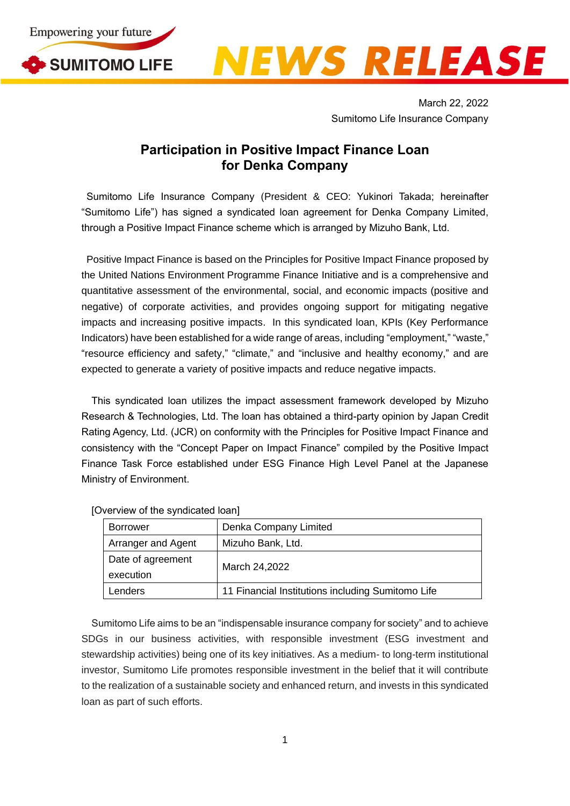



March 22, 2022 Sumitomo Life Insurance Company

## **Participation in Positive Impact Finance Loan for Denka Company**

Sumitomo Life Insurance Company (President & CEO: Yukinori Takada; hereinafter "Sumitomo Life") has signed a syndicated loan agreement for Denka Company Limited, through a Positive Impact Finance scheme which is arranged by Mizuho Bank, Ltd.

Positive Impact Finance is based on the Principles for Positive Impact Finance proposed by the United Nations Environment Programme Finance Initiative and is a comprehensive and quantitative assessment of the environmental, social, and economic impacts (positive and negative) of corporate activities, and provides ongoing support for mitigating negative impacts and increasing positive impacts. In this syndicated loan, KPIs (Key Performance Indicators) have been established for a wide range of areas, including "employment," "waste," "resource efficiency and safety," "climate," and "inclusive and healthy economy," and are expected to generate a variety of positive impacts and reduce negative impacts.

This syndicated loan utilizes the impact assessment framework developed by Mizuho Research & Technologies, Ltd. The loan has obtained a third-party opinion by Japan Credit Rating Agency, Ltd. (JCR) on conformity with the Principles for Positive Impact Finance and consistency with the "Concept Paper on Impact Finance" compiled by the Positive Impact Finance Task Force established under ESG Finance High Level Panel at the Japanese Ministry of Environment.

|  | <b>Borrower</b>    | Denka Company Limited                             |
|--|--------------------|---------------------------------------------------|
|  | Arranger and Agent | Mizuho Bank, Ltd.                                 |
|  | Date of agreement  | March 24,2022                                     |
|  | execution          |                                                   |
|  | Lenders            | 11 Financial Institutions including Sumitomo Life |

[Overview of the syndicated loan]

Sumitomo Life aims to be an "indispensable insurance company for society" and to achieve SDGs in our business activities, with responsible investment (ESG investment and stewardship activities) being one of its key initiatives. As a medium- to long-term institutional investor, Sumitomo Life promotes responsible investment in the belief that it will contribute to the realization of a sustainable society and enhanced return, and invests in this syndicated loan as part of such efforts.